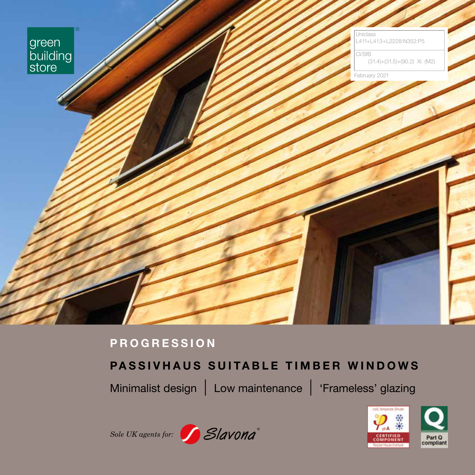

# **PROGRESSION**

# **PASSIVHAUS SUITABLE TIMBER WINDOWS**

Minimalist design | Low maintenance | 'Frameless' glazing





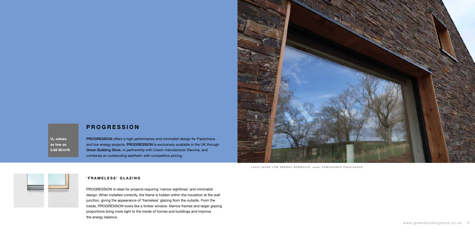## **PROGRESSION**

PROGRESSION offers a high performance and minimalist design for Passivhaus and low energy projects. PROGRESSION Is exclusively available in the UK through Green Building Store, in partnership with Czech manufacturer Slavona, and combines an outstanding aesthetic with competitive pricing.

## **'FRAMELESS' GLAZING**

PROGRESSION is ideal for projects requiring 'narrow sightlines' and minimalist design. When installed correctly, the frame is hidden within the insulation at the wall junction, giving the appearance of 'frameless' glazing from the outside. From the inside, PROGRESSION looks like a timber window. Narrow frames and larger glazing proportions bring more light to the inside of homes and buildings and improve the energy balance.

**Uw values as low as 0.68 W/m<sup>2</sup>K**



LOCH LEVEN LOW ENERGY NEWBUILD cover: VOWCHURCH PASSIVHAUS

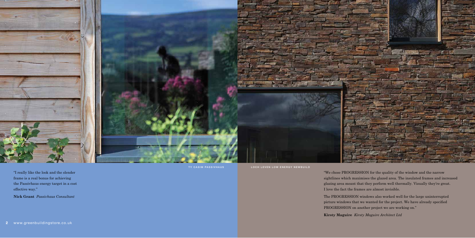

"I really like the look and the slender frame is a real bonus for achieving the Passivhaus energy target in a cost effective way."

**Nick Grant** *Passivhaus Consultant*

"We chose PROGRESSION for the quality of the window and the narrow sightlines which maximises the glazed area. The insulated frames and increased glazing area meant that they perform well thermally. Visually they're great. I love the fact the frames are almost invisible.

The PROGRESSION windows also worked well for the large uninterrupted picture windows that we wanted for the project. We have already specified PROGRESSION on another project we are working on."

**Kirsty Maguire** *Kirsty Maguire Architect Ltd*

TY CASIM PASSIVHAUS LOCH LEVEN LOW ENERGY NEWBUILD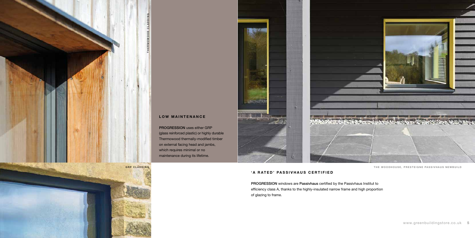# **LOW MAINTENANCE**

PROGRESSION uses either GRP (glass reinforced plastic) or highly durable Thermowood thermally-modified timber on external facing head and jambs, which requires minimal or no maintenance during its lifetime.

## **'A RATED' PASSIVHAUS CERTIFIED**

PROGRESSION windows are Passivhaus certified by the Passivhaus Institut to efficiency class A, thanks to the highly-insulated narrow frame and high proportion of glazing to frame.



THE WOODHOUSE, PRESTEIGNE PASSIVHAUS NEWBUILD





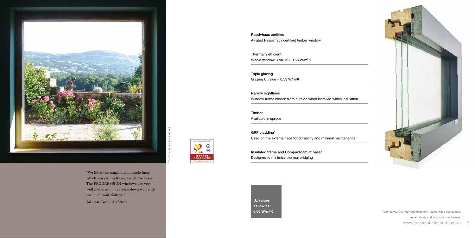"We liked the minimalist, simple lines which worked really well with the design. The PROGRESSION windows are very well made, and have gone down well with the client and visitors."

Thermally efficient Whole window U value =  $0.68$  W/m<sup>2</sup>K

Triple glazing Glazing U value =  $0.53$  W/m<sup>2</sup>K

**Adrian Cook** *Architect*

Passivhaus certified A-rated Passivhaus certified timber window



Insulated frame and Compacfoam at base<sup>+</sup> Designed to minimise thermal bridging

TY CASIM PASSIVHAUS - 3

cool, temperate climate  $\mathcal{P}_{\scriptscriptstyle{\mathsf{m}}}$ .

**CERTIFIED<br>COMPONENT**<br>Fassive House Institute

Narrow sightlines Window frame hidden from outside when installed within insulation

Timber

Available in spruce

GRP cladding\* Used on the external face for durability and minimal maintenance

**Uw values as low as** 



www.greenbuildingstore.co.uk **7 0.68 W/m<sup>2</sup>K but a straight and the straight of the straight of the straight of the straight straight straight straight straight straight straight straight straight straight straight straight straight straight straight** +Alternatively cork insulation can be used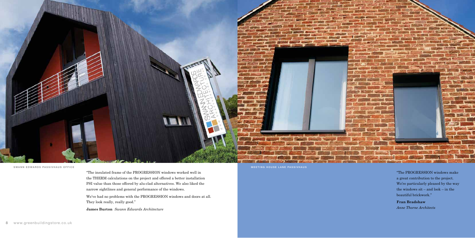

"The insulated frame of the PROGRESSION windows worked well in the THERM calculations on the project and offered a better installation PSI value than those offered by alu-clad alternatives. We also liked the narrow sightlines and general performance of the windows.

We've had no problems with the PROGRESSION windows and doors at all. They look really, really good."

**James Burton** *Swann Edwards Architecture*

SWANN EDWARDS PASSIVHAUS OFFICE **External of the system of the system of the system of the system of the system of the system of the system of the system of the system of the system of the system of the system of the syste** 

"The PROGRESSION windows make a great contribution to the project. We're particularly pleased by the way the windows sit – and look – in the beautiful brickwork."

**Fran Bradshaw** *Anne Thorne Architects*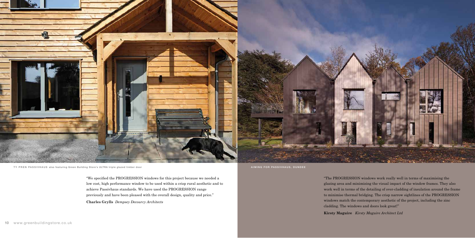

TY PREN PASSIVHAUS also featuring Green Building Store's ULTRA triple glazed timber door AIMING FOR PASSIVHAUS, DUNDEE

"We specified the PROGRESSION windows for this project because we needed a low cost, high performance window to be used within a crisp rural aesthetic and to achieve Passivhaus standards. We have used the PROGRESSION range previously and have been pleased with the overall design, quality and price."

**Charles Grylls** *Dempsey Decourcy Architects*

"The PROGRESSION windows work really well in terms of maximising the glazing area and minimising the visual impact of the window frames. They also work well in terms of the detailing of over-cladding of insulation around the frame to minimise thermal bridging. The crisp narrow sightlines of the PROGRESSION windows match the contemporary aesthetic of the project, including the zinc cladding. The windows and doors look great!" **Kirsty Maguire** *Kirsty Maguire Architect Ltd*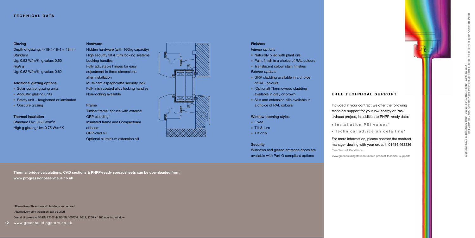**12** www.greenbuildingstore.co.uk

## Finishes

*Interior options*

- Naturally oiled with plant oils
- Paint finish in a choice of RAL colours
- Translucent colour stain finishes

## *Exterior options*

- GRP cladding available in a choice of RAL colours
- (Optional) Thermowood cladding available in grey or brown
- Sills and extension sills available in a choice of RAL colours

## Window opening styles

- Fixed
- Tilt & turn
- Tilt only

#### **Security**

Windows and glazed entrance doors are available with Part Q compliant options

### **TECHNICAL DATA**

**Thermal bridge calculations, CAD sections & PHPP-ready spreadsheets can be downloaded from: www.progressionpassivhaus.co.uk** 

\*Alternatively Thremowood cladding can be used

<sup>+</sup>Alternatively cork insulation can be used

Overall U values to BS EN 12567-1/ BS EN 10077-2: 2012, 1230 X 1480 opening window

Depth of glazing:  $4-18-4-18-4 = 48$ mm *Standard* Ug: 0.53 W/m <sup>2</sup>K, g value: 0.50 *High g* Ug: 0.62 W/m <sup>2</sup>K, g value: 0.62

Hidden hardware (with 160kg capacity) High security tilt & turn locking systems Locking handles Fully adjustable hinges for easy adjustment in three dimensions after installation Multi-cam espagnolette security lock Full-finish coated alloy locking handles Non-locking available

#### Frame

Timber frame: spruce with external GRP cladding\* Insulated frame and Compacfoam at base + GRP-clad sill Optional aluminium extension sill



## Glazing

#### Additional glazing options

■ Solar control glazing units

- Acoustic glazing units
- Safety unit toughened or laminated
- Obscure glazing

## Thermal insulation

Standard Uw: 0.68 W/m<sup>2</sup>K High g glazing Uw: 0.75 W/m<sup>2</sup>K

## **Hardware**

## **FREE TECHNICAL SUPPORT**

Included in your contract we offer the following technical support for your low energy or Passivhaus project, in addition to PHPP-ready data:

- 
- 

■ Installation PSI values\*

■ Technical advice on detailing\*

For more information, please contact the contract manager dealing with your order. t: 01484 463336

\*See Terms & Conditions: www.greenbuildingstore.co.uk/free-product-technical-support/